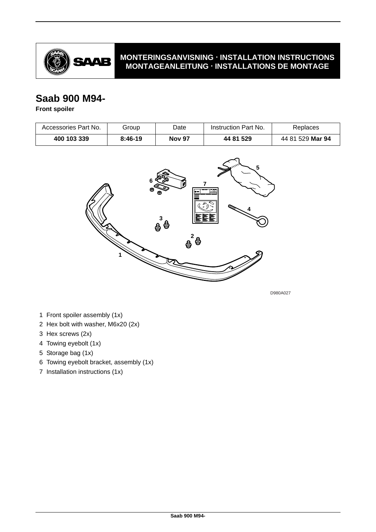

## **MONTERINGSANVISNING · INSTALLATION INSTRUCTIONS MONTAGEANLEITUNG · INSTALLATIONS DE MONTAGE**

## **Saab 900 M94-**

## **Front spoiler**

| Accessories Part No. | Group     | Date          | Instruction Part No. | Replaces         |
|----------------------|-----------|---------------|----------------------|------------------|
| 400 103 339          | $8:46-19$ | <b>Nov 97</b> | 44 81 529            | 44 81 529 Mar 94 |



D980A027

- 1 Front spoiler assembly (1x)
- 2 Hex bolt with washer, M6x20 (2x)
- 3 Hex screws (2x)
- 4 Towing eyebolt (1x)
- 5 Storage bag (1x)
- 6 Towing eyebolt bracket, assembly (1x)
- 7 Installation instructions (1x)